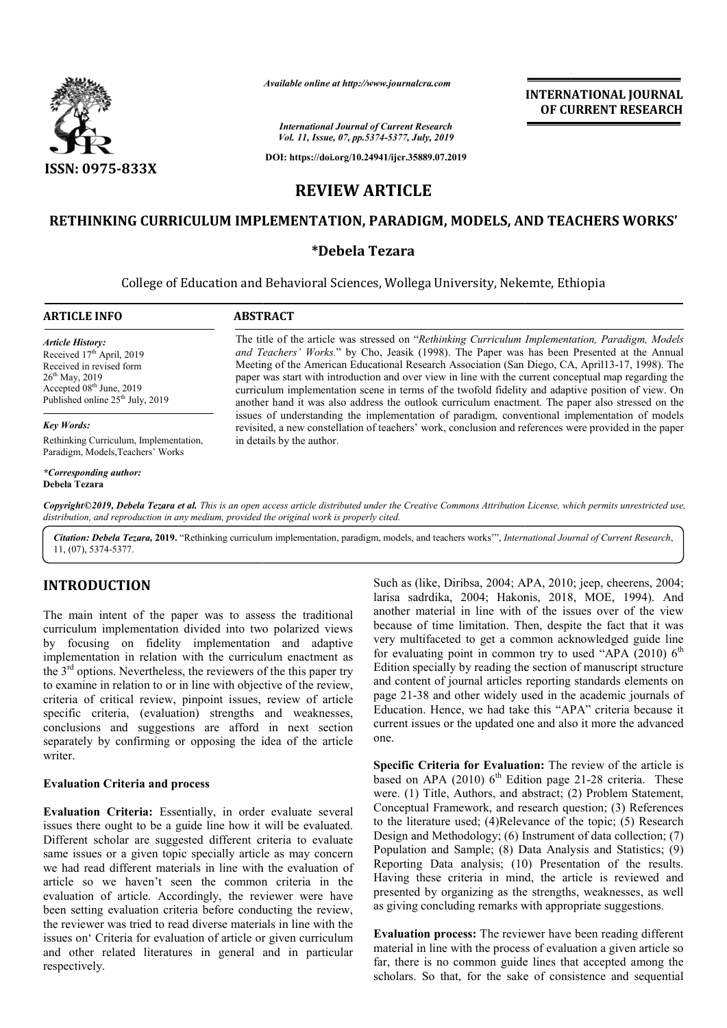

*Available online at http://www.journalcra.com*

*International Journal of Current Research Vol. 11, Issue, 07, pp.5374-5377, July, 2019*

**DOI: https://doi.org/10.24941/ijcr.35889.07.2019**

# **INTERNATIONAL JOURNAL OF CURRENT RESEARCH**

**REVIEW ARTICLE**

# **RETHINKING CURRICULUM IMPLEMENTATION, PARADIGM, MODELS, AND TEACHERS WORKS' CURRICULUM IMPLEMENTATION,**

## **\*Debela Tezara**

College of Education and Behavioral Sciences, Wollega University, Nekemte, Ethiopia Nekemte,

| <b>ARTICLE INFO</b>                                                                                                                                                                               | <b>ABSTRACT</b>                                                                                                                                                                                                                                                                                                                                                                                                                                                                                                                                                                                                                                                                                                                                                                                                                                                 |
|---------------------------------------------------------------------------------------------------------------------------------------------------------------------------------------------------|-----------------------------------------------------------------------------------------------------------------------------------------------------------------------------------------------------------------------------------------------------------------------------------------------------------------------------------------------------------------------------------------------------------------------------------------------------------------------------------------------------------------------------------------------------------------------------------------------------------------------------------------------------------------------------------------------------------------------------------------------------------------------------------------------------------------------------------------------------------------|
| Article History:<br>Received 17 <sup>th</sup> April, 2019<br>Received in revised form<br>$26^{\text{th}}$ May, 2019<br>Accepted $08th$ June, 2019<br>Published online 25 <sup>th</sup> July, 2019 | The title of the article was stressed on "Rethinking Curriculum Implementation, Paradigm, Models<br>and Teachers' Works." by Cho, Jeasik (1998). The Paper was has been Presented at the Annual<br>Meeting of the American Educational Research Association (San Diego, CA, April 13-17, 1998). The<br>paper was start with introduction and over view in line with the current conceptual map regarding the<br>curriculum implementation scene in terms of the twofold fidelity and adaptive position of view. On<br>another hand it was also address the outlook curriculum enactment. The paper also stressed on the<br>issues of understanding the implementation of paradigm, conventional implementation of models<br>revisited, a new constellation of teachers' work, conclusion and references were provided in the paper<br>in details by the author. |
| Key Words:                                                                                                                                                                                        |                                                                                                                                                                                                                                                                                                                                                                                                                                                                                                                                                                                                                                                                                                                                                                                                                                                                 |
| Rethinking Curriculum, Implementation,<br>Paradigm, Models, Teachers' Works                                                                                                                       |                                                                                                                                                                                                                                                                                                                                                                                                                                                                                                                                                                                                                                                                                                                                                                                                                                                                 |
| *Corresponding author:<br>Debela Tezara                                                                                                                                                           |                                                                                                                                                                                                                                                                                                                                                                                                                                                                                                                                                                                                                                                                                                                                                                                                                                                                 |
|                                                                                                                                                                                                   | Copyright©2019, Debela Tezara et al. This is an open access article distributed under the Creative Commons Attribution License, which permits unrestricted use,<br>distribution, and reproduction in any medium, provided the original work is properly cited.                                                                                                                                                                                                                                                                                                                                                                                                                                                                                                                                                                                                  |

Citation: Debela Tezara, 2019. "Rethinking curriculum implementation, paradigm, models, and teachers works"", *International Journal of Current Research*, 11, (07), 5374-5377.

# **INTRODUCTION**

The main intent of the paper was to assess the traditional curriculum implementation divided into two polarized views by focusing on fidelity implementation and adaptive implementation in relation with the curriculum enactment as the  $3<sup>rd</sup>$  options. Nevertheless, the reviewers of the this paper try to examine in relation to or in line with objective of the review, criteria of critical review, pinpoint issues, review of article specific criteria, (evaluation) strengths and weaknesses, conclusions and suggestions are afford in next section separately by confirming or opposing the idea of the article writer.

#### **Evaluation Criteria and process**

**Evaluation Criteria:** Essentially, in order evaluate several issues there ought to be a guide line how it will be evaluated. Different scholar are suggested different criteria to evaluate same issues or a given topic specially article as may concern we had read different materials in line with the evaluation of article so we haven't seen the common criteria in the evaluation of article. Accordingly, the reviewer were have been setting evaluation criteria before conducting the review, the reviewer was tried to read diverse materials in line with the issues on' Criteria for evaluation of article or given curriculum and other related literatures in general and in particular respectively.

Such as (like, Diribsa, 2004; APA, 2010; jeep, cheerens, 2004;<br>ans to assess the traditional another material in line with of the issues over of the view<br>another material in line with of the issues over of the view<br>encenta Such as (like, Diribsa, 2004; APA, 2010; jeep, cheerens, 2004; larisa sadrdika, 2004; Hakonis, 2018, MOE, 1994). And another material in line with of the issues over of the view because of time limitation. Then, despite the fact that it was very multifaceted to get a common a for evaluating point in common try to used "APA (2010)  $6<sup>th</sup>$ Edition specially by reading the section of manuscript structure and content of journal articles reporting standards elements on and content of journal articles reporting standards elements on page 21-38 and other widely used in the academic journals of Education. Hence, we had take this "APA" criteria because it current issues or the updated one and also it more the advanced one. Frequent issues or the updated one and also it more the advanced<br>
one.<br> **Specific Criteria for Evaluation:** The review of the article is material in line with of the issues over of the view<br>of time limitation. Then, despite the fact that it was<br>ltifaceted to get a common acknowledged guide line

based on APA (2010)  $6<sup>th</sup>$  Edition page 21-28 criteria. These were. (1) Title, Authors, and abstract; (2) Problem Statement, Conceptual Framework, and research question; (3) References to the literature used; (4)Relevance of the topic; (5) Research Design and Methodology; (6) Instrument of data collection; (7) Population and Sample; (8) Data Analysis and Statistics; (9) Reporting Data analysis; (10) Presentation of the results. Having these criteria in mind, the article is reviewed and presented by organizing as the strengths, weaknesses, as well as giving concluding remarks with appropriate suggestions. and research question; (3) References<br>)Relevance of the topic; (5) Research<br> $r$ ; (6) Instrument of data collection; (7)

**Evaluation process:** The reviewer have been reading different material in line with the process of evaluation a given article so far, there is no common guide lines that accepted among the scholars. So that, for the sake of consistence and sequential ing these criteria in mind, the article is reviewed and eented by organizing as the strengths, weaknesses, as well iving concluding remarks with appropriate suggestions.<br> **Iluation process:** The reviewer have been reading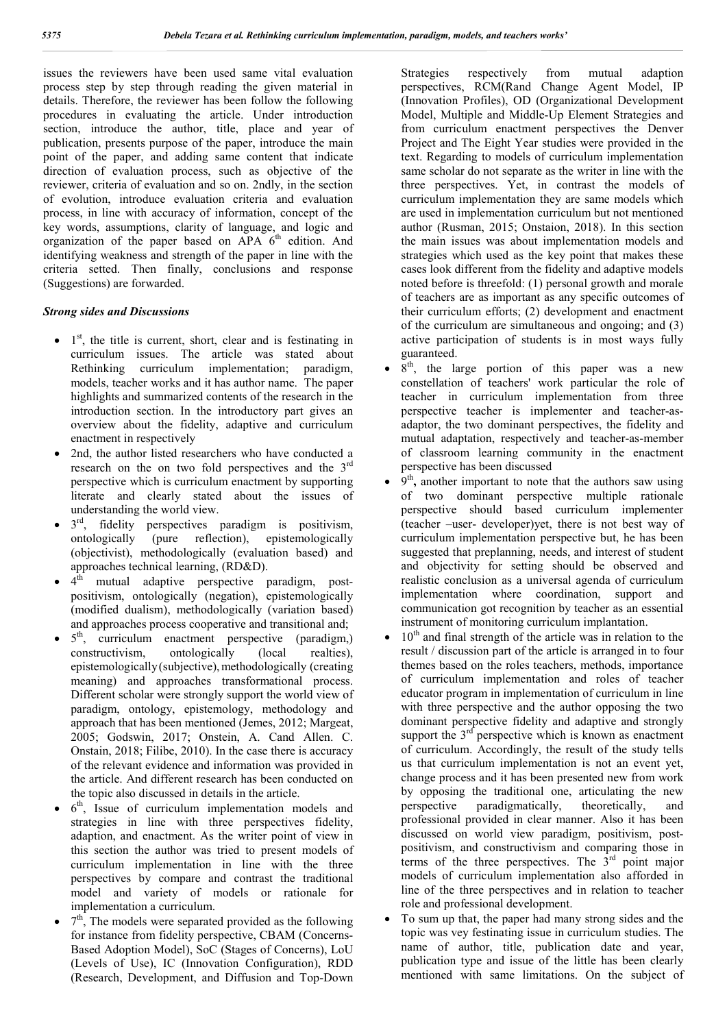issues the reviewers have been used same vital evaluation process step by step through reading the given material in details. Therefore, the reviewer has been follow the following procedures in evaluating the article. Under introduction section, introduce the author, title, place and year of publication, presents purpose of the paper, introduce the main point of the paper, and adding same content that indicate direction of evaluation process, such as objective of the reviewer, criteria of evaluation and so on. 2ndly, in the section of evolution, introduce evaluation criteria and evaluation process, in line with accuracy of information, concept of the key words, assumptions, clarity of language, and logic and organization of the paper based on APA  $6<sup>th</sup>$  edition. And identifying weakness and strength of the paper in line with the criteria setted. Then finally, conclusions and response (Suggestions) are forwarded.

### *Strong sides and Discussions*

- $\bullet$  1<sup>st</sup>, the title is current, short, clear and is festinating in curriculum issues. The article was stated about Rethinking curriculum implementation; paradigm, models, teacher works and it has author name. The paper highlights and summarized contents of the research in the introduction section. In the introductory part gives an overview about the fidelity, adaptive and curriculum enactment in respectively
- 2nd, the author listed researchers who have conducted a research on the on two fold perspectives and the  $3<sup>rd</sup>$ perspective which is curriculum enactment by supporting literate and clearly stated about the issues of understanding the world view.
- $3<sup>rd</sup>$ , fidelity perspectives paradigm is positivism, ontologically (pure reflection), epistemologically (objectivist), methodologically (evaluation based) and approaches technical learning, (RD&D).
- $\bullet$  4<sup>th</sup> mutual adaptive perspective paradigm, postpositivism, ontologically (negation), epistemologically (modified dualism), methodologically (variation based) and approaches process cooperative and transitional and;
- 5<sup>th</sup>, curriculum enactment perspective (paradigm,) constructivism, ontologically (local realties), epistemologically (subjective), methodologically (creating meaning) and approaches transformational process. Different scholar were strongly support the world view of paradigm, ontology, epistemology, methodology and approach that has been mentioned (Jemes, 2012; Margeat, 2005; Godswin, 2017; Onstein, A. Cand Allen. C. Onstain, 2018; Filibe, 2010). In the case there is accuracy of the relevant evidence and information was provided in the article. And different research has been conducted on the topic also discussed in details in the article.
- $6<sup>th</sup>$ . Issue of curriculum implementation models and strategies in line with three perspectives fidelity, adaption, and enactment. As the writer point of view in this section the author was tried to present models of curriculum implementation in line with the three perspectives by compare and contrast the traditional model and variety of models or rationale for implementation a curriculum.
- $7<sup>th</sup>$ , The models were separated provided as the following for instance from fidelity perspective, CBAM (Concerns-Based Adoption Model), SoC (Stages of Concerns), LoU (Levels of Use), IC (Innovation Configuration), RDD (Research, Development, and Diffusion and Top-Down

Strategies respectively from mutual adaption perspectives, RCM(Rand Change Agent Model, IP (Innovation Profiles), OD (Organizational Development Model, Multiple and Middle-Up Element Strategies and from curriculum enactment perspectives the Denver Project and The Eight Year studies were provided in the text. Regarding to models of curriculum implementation same scholar do not separate as the writer in line with the three perspectives. Yet, in contrast the models of curriculum implementation they are same models which are used in implementation curriculum but not mentioned author (Rusman, 2015; Onstaion, 2018). In this section the main issues was about implementation models and strategies which used as the key point that makes these cases look different from the fidelity and adaptive models noted before is threefold: (1) personal growth and morale of teachers are as important as any specific outcomes of their curriculum efforts; (2) development and enactment of the curriculum are simultaneous and ongoing; and (3) active participation of students is in most ways fully guaranteed.

- 8<sup>th</sup>, the large portion of this paper was a new constellation of teachers' work particular the role of teacher in curriculum implementation from three perspective teacher is implementer and teacher-asadaptor, the two dominant perspectives, the fidelity and mutual adaptation, respectively and teacher-as-member of classroom learning community in the enactment perspective has been discussed
- 9<sup>th</sup>, another important to note that the authors saw using of two dominant perspective multiple rationale perspective should based curriculum implementer (teacher –user- developer)yet, there is not best way of curriculum implementation perspective but, he has been suggested that preplanning, needs, and interest of student and objectivity for setting should be observed and realistic conclusion as a universal agenda of curriculum implementation where coordination, support and communication got recognition by teacher as an essential instrument of monitoring curriculum implantation.
- $10<sup>th</sup>$  and final strength of the article was in relation to the result / discussion part of the article is arranged in to four themes based on the roles teachers, methods, importance of curriculum implementation and roles of teacher educator program in implementation of curriculum in line with three perspective and the author opposing the two dominant perspective fidelity and adaptive and strongly support the  $3<sup>rd</sup>$  perspective which is known as enactment of curriculum. Accordingly, the result of the study tells us that curriculum implementation is not an event yet, change process and it has been presented new from work by opposing the traditional one, articulating the new perspective paradigmatically, theoretically, and professional provided in clear manner. Also it has been discussed on world view paradigm, positivism, postpositivism, and constructivism and comparing those in terms of the three perspectives. The  $3<sup>rd</sup>$  point major models of curriculum implementation also afforded in line of the three perspectives and in relation to teacher role and professional development.
- To sum up that, the paper had many strong sides and the topic was vey festinating issue in curriculum studies. The name of author, title, publication date and year, publication type and issue of the little has been clearly mentioned with same limitations. On the subject of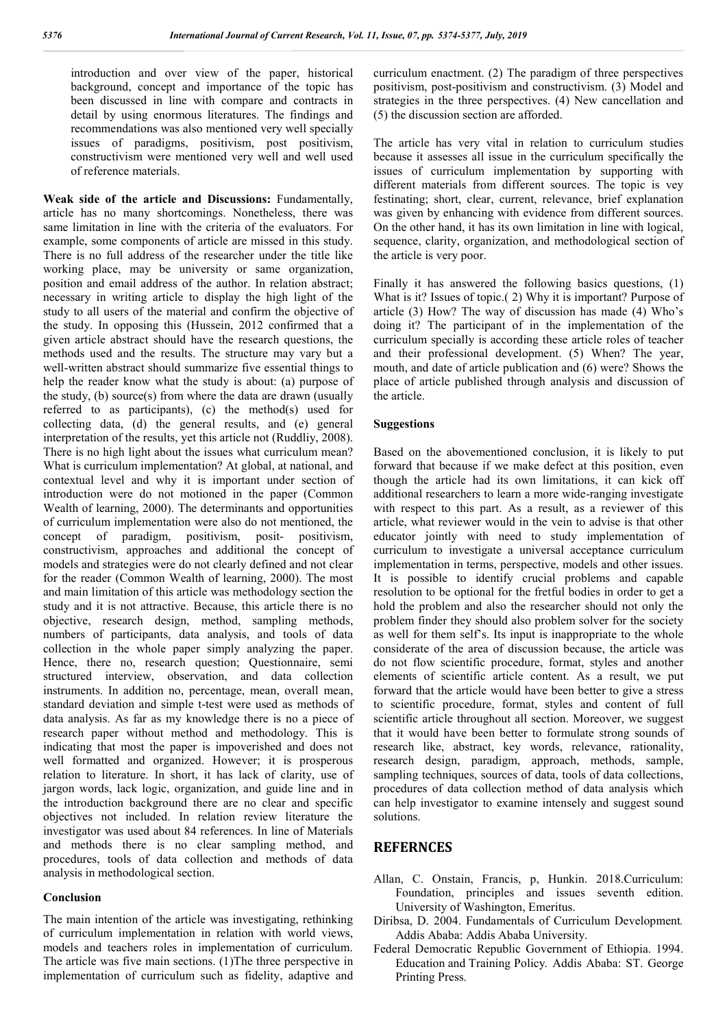introduction and over view of the paper, historical background, concept and importance of the topic has been discussed in line with compare and contracts in detail by using enormous literatures. The findings and recommendations was also mentioned very well specially issues of paradigms, positivism, post positivism, constructivism were mentioned very well and well used of reference materials.

**Weak side of the article and Discussions:** Fundamentally, article has no many shortcomings. Nonetheless, there was same limitation in line with the criteria of the evaluators. For example, some components of article are missed in this study. There is no full address of the researcher under the title like working place, may be university or same organization, position and email address of the author. In relation abstract; necessary in writing article to display the high light of the study to all users of the material and confirm the objective of the study. In opposing this (Hussein, 2012 confirmed that a given article abstract should have the research questions, the methods used and the results. The structure may vary but a well-written abstract should summarize five essential things to help the reader know what the study is about: (a) purpose of the study, (b) source(s) from where the data are drawn (usually referred to as participants), (c) the method(s) used for collecting data, (d) the general results, and (e) general interpretation of the results, yet this article not (Ruddliy, 2008). There is no high light about the issues what curriculum mean? What is curriculum implementation? At global, at national, and contextual level and why it is important under section of introduction were do not motioned in the paper (Common Wealth of learning, 2000). The determinants and opportunities of curriculum implementation were also do not mentioned, the concept of paradigm, positivism, posit- positivism, constructivism, approaches and additional the concept of models and strategies were do not clearly defined and not clear for the reader (Common Wealth of learning, 2000). The most and main limitation of this article was methodology section the study and it is not attractive. Because, this article there is no objective, research design, method, sampling methods, numbers of participants, data analysis, and tools of data collection in the whole paper simply analyzing the paper. Hence, there no, research question; Questionnaire, semi structured interview, observation, and data collection instruments. In addition no, percentage, mean, overall mean, standard deviation and simple t-test were used as methods of data analysis. As far as my knowledge there is no a piece of research paper without method and methodology. This is indicating that most the paper is impoverished and does not well formatted and organized. However; it is prosperous relation to literature. In short, it has lack of clarity, use of jargon words, lack logic, organization, and guide line and in the introduction background there are no clear and specific objectives not included. In relation review literature the investigator was used about 84 references. In line of Materials and methods there is no clear sampling method, and procedures, tools of data collection and methods of data analysis in methodological section.

#### **Conclusion**

The main intention of the article was investigating, rethinking of curriculum implementation in relation with world views, models and teachers roles in implementation of curriculum. The article was five main sections. (1)The three perspective in implementation of curriculum such as fidelity, adaptive and

curriculum enactment. (2) The paradigm of three perspectives positivism, post-positivism and constructivism. (3) Model and strategies in the three perspectives. (4) New cancellation and (5) the discussion section are afforded.

The article has very vital in relation to curriculum studies because it assesses all issue in the curriculum specifically the issues of curriculum implementation by supporting with different materials from different sources. The topic is vey festinating; short, clear, current, relevance, brief explanation was given by enhancing with evidence from different sources. On the other hand, it has its own limitation in line with logical, sequence, clarity, organization, and methodological section of the article is very poor.

Finally it has answered the following basics questions, (1) What is it? Issues of topic.( 2) Why it is important? Purpose of article (3) How? The way of discussion has made (4) Who's doing it? The participant of in the implementation of the curriculum specially is according these article roles of teacher and their professional development. (5) When? The year, mouth, and date of article publication and (6) were? Shows the place of article published through analysis and discussion of the article.

#### **Suggestions**

Based on the abovementioned conclusion, it is likely to put forward that because if we make defect at this position, even though the article had its own limitations, it can kick off additional researchers to learn a more wide-ranging investigate with respect to this part. As a result, as a reviewer of this article, what reviewer would in the vein to advise is that other educator jointly with need to study implementation of curriculum to investigate a universal acceptance curriculum implementation in terms, perspective, models and other issues. It is possible to identify crucial problems and capable resolution to be optional for the fretful bodies in order to get a hold the problem and also the researcher should not only the problem finder they should also problem solver for the society as well for them self's. Its input is inappropriate to the whole considerate of the area of discussion because, the article was do not flow scientific procedure, format, styles and another elements of scientific article content. As a result, we put forward that the article would have been better to give a stress to scientific procedure, format, styles and content of full scientific article throughout all section. Moreover, we suggest that it would have been better to formulate strong sounds of research like, abstract, key words, relevance, rationality, research design, paradigm, approach, methods, sample, sampling techniques, sources of data, tools of data collections, procedures of data collection method of data analysis which can help investigator to examine intensely and suggest sound solutions.

## **REFERNCES**

- Allan, C. Onstain, Francis, p, Hunkin. 2018.Curriculum: Foundation, principles and issues seventh edition. University of Washington, Emeritus.
- Diribsa, D. 2004. Fundamentals of Curriculum Development*.* Addis Ababa: Addis Ababa University.
- Federal Democratic Republic Government of Ethiopia. 1994. Education and Training Policy*.* Addis Ababa: ST. George Printing Press.